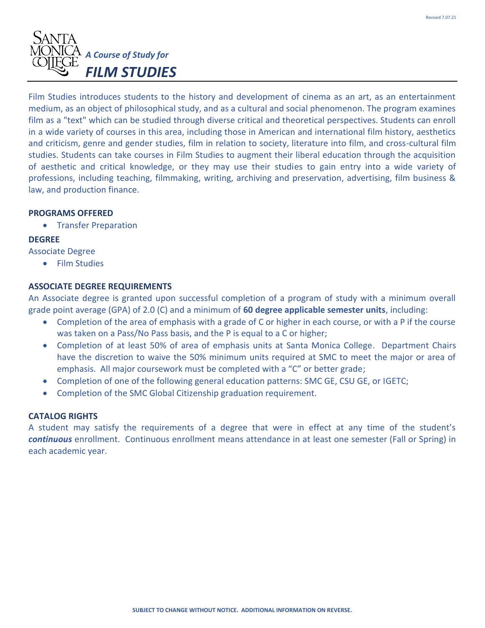

Film Studies introduces students to the history and development of cinema as an art, as an entertainment medium, as an object of philosophical study, and as a cultural and social phenomenon. The program examines film as a "text" which can be studied through diverse critical and theoretical perspectives. Students can enroll in a wide variety of courses in this area, including those in American and international film history, aesthetics and criticism, genre and gender studies, film in relation to society, literature into film, and cross-cultural film studies. Students can take courses in Film Studies to augment their liberal education through the acquisition of aesthetic and critical knowledge, or they may use their studies to gain entry into a wide variety of professions, including teaching, filmmaking, writing, archiving and preservation, advertising, film business & law, and production finance.

#### **PROGRAMS OFFERED**

• Transfer Preparation

# **DEGREE**

Associate Degree

• Film Studies

# **ASSOCIATE DEGREE REQUIREMENTS**

An Associate degree is granted upon successful completion of a program of study with a minimum overall grade point average (GPA) of 2.0 (C) and a minimum of **60 degree applicable semester units**, including:

- Completion of the area of emphasis with a grade of C or higher in each course, or with a P if the course was taken on a Pass/No Pass basis, and the P is equal to a C or higher;
- Completion of at least 50% of area of emphasis units at Santa Monica College. Department Chairs have the discretion to waive the 50% minimum units required at SMC to meet the major or area of emphasis. All major coursework must be completed with a "C" or better grade;
- Completion of one of the following general education patterns: SMC GE, CSU GE, or IGETC;
- Completion of the SMC Global Citizenship graduation requirement.

# **CATALOG RIGHTS**

A student may satisfy the requirements of a degree that were in effect at any time of the student's *continuous* enrollment. Continuous enrollment means attendance in at least one semester (Fall or Spring) in each academic year.